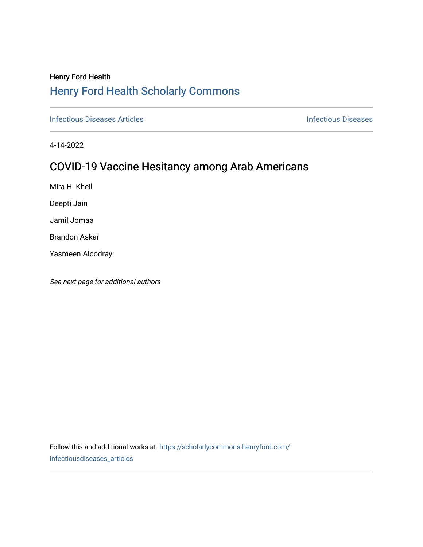# Henry Ford Health [Henry Ford Health Scholarly Commons](https://scholarlycommons.henryford.com/)

**[Infectious Diseases](https://scholarlycommons.henryford.com/infectiousdiseases) Articles Infectious Diseases Infectious Diseases** 

4-14-2022

# COVID-19 Vaccine Hesitancy among Arab Americans

Mira H. Kheil

Deepti Jain

Jamil Jomaa

Brandon Askar

Yasmeen Alcodray

See next page for additional authors

Follow this and additional works at: [https://scholarlycommons.henryford.com/](https://scholarlycommons.henryford.com/infectiousdiseases_articles?utm_source=scholarlycommons.henryford.com%2Finfectiousdiseases_articles%2F173&utm_medium=PDF&utm_campaign=PDFCoverPages) [infectiousdiseases\\_articles](https://scholarlycommons.henryford.com/infectiousdiseases_articles?utm_source=scholarlycommons.henryford.com%2Finfectiousdiseases_articles%2F173&utm_medium=PDF&utm_campaign=PDFCoverPages)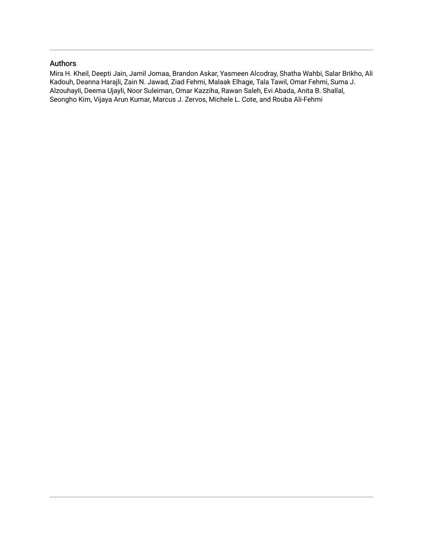### Authors

Mira H. Kheil, Deepti Jain, Jamil Jomaa, Brandon Askar, Yasmeen Alcodray, Shatha Wahbi, Salar Brikho, Ali Kadouh, Deanna Harajli, Zain N. Jawad, Ziad Fehmi, Malaak Elhage, Tala Tawil, Omar Fehmi, Suma J. Alzouhayli, Deema Ujayli, Noor Suleiman, Omar Kazziha, Rawan Saleh, Evi Abada, Anita B. Shallal, Seongho Kim, Vijaya Arun Kumar, Marcus J. Zervos, Michele L. Cote, and Rouba Ali-Fehmi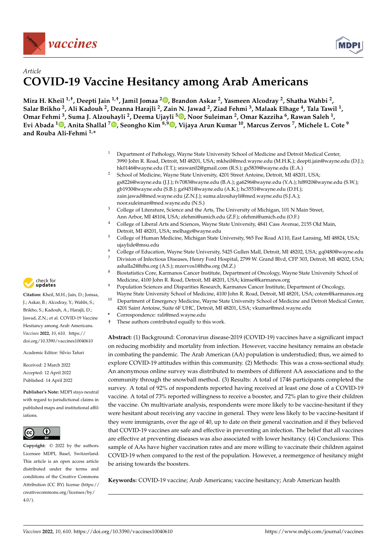



### *Article* **COVID-19 Vaccine Hesitancy among Arab Americans**

**Mira H. Kheil 1,†, Deepti Jain 1,†, Jamil Jomaa <sup>2</sup> [,](https://orcid.org/0000-0002-5376-5248) Brandon Askar <sup>2</sup> , Yasmeen Alcodray <sup>2</sup> , Shatha Wahbi <sup>2</sup> , Salar Brikho <sup>2</sup> , Ali Kadouh <sup>2</sup> , Deanna Harajli <sup>2</sup> , Zain N. Jawad <sup>2</sup> , Ziad Fehmi <sup>3</sup> , Malaak Elhage <sup>4</sup> , Tala Tawil <sup>1</sup> , Omar Fehmi <sup>3</sup> , Suma J. Alzouhayli <sup>2</sup> , Deema Ujayli [5](https://orcid.org/0000-0002-0663-6742) , Noor Suleiman <sup>2</sup> , Omar Kazziha <sup>6</sup> , Rawan Saleh <sup>1</sup> , Evi Abada <sup>1</sup> [,](https://orcid.org/0000-0001-5061-2687) Anita Shallal <sup>7</sup> [,](https://orcid.org/0000-0002-1940-3622) Seongho Kim 8,9 [,](https://orcid.org/0000-0003-1120-073X) Vijaya Arun Kumar <sup>10</sup>, Marcus Zervos <sup>7</sup> , Michele L. Cote <sup>9</sup> and Rouba Ali-Fehmi 1,\***

- <sup>1</sup> Department of Pathology, Wayne State University School of Medicine and Detroit Medical Center, 3990 John R. Road, Detroit, MI 48201, USA; mkheil@med.wayne.edu (M.H.K.); deepti.jain@wayne.edu (D.J.); hk0146@wayne.edu (T.T.); srawan02@gmail.com (R.S.); gs5839@wayne.edu (E.A.)
- <sup>2</sup> School of Medicine, Wayne State University, 4201 Street Antoine, Detroit, MI 48201, USA; gs8226@wayne.edu (J.J.); fv7083@wayne.edu (B.A.); ga6296@wayne.edu (Y.A.); hf8920@wayne.edu (S.W.); gb1930@wayne.edu (S.B.); ga9451@wayne.edu (A.K.); hc3551@wayne.edu (D.H.); zain.jawad@med.wayne.edu (Z.N.J.); suma.alzouhayli@med.wayne.edu (S.J.A.); noor.suleiman@med.wayne.edu (N.S.)
- <sup>3</sup> College of Literature, Science and the Arts, The University of Michigan, 101 N Main Street, Ann Arbor, MI 48104, USA; zfehmi@umich.edu (Z.F.); ofehmi@umich.edu (O.F.)
- <sup>4</sup> College of Liberal Arts and Sciences, Wayne State University, 4841 Cass Avenue, 2155 Old Main, Detroit, MI 48201, USA; melhage@wayne.edu
- <sup>5</sup> College of Human Medicine, Michigan State University, 965 Fee Road A110, East Lansing, MI 48824, USA; ujaylide@msu.edu
- <sup>6</sup> College of Education, Wayne State University, 5425 Gullen Mall, Detroit, MI 48202, USA; gq0480@wayne.edu
	- Division of Infectious Diseases, Henry Ford Hospital, 2799 W. Grand Blvd, CFP 303, Detroit, MI 48202, USA; ashalla2@hfhs.org (A.S.); mzervos1@hfhs.org (M.Z.)
	- <sup>8</sup> Biostatistics Core, Karmanos Cancer Institute, Department of Oncology, Wayne State University School of Medicine, 4100 John R. Road, Detroit, MI 48201, USA; kimse@karmanos.org
	- <sup>9</sup> Population Sciences and Disparities Research, Karmanos Cancer Institute, Department of Oncology, Wayne State University School of Medicine, 4100 John R. Road, Detroit, MI 48201, USA; cotem@karmanos.org
- <sup>10</sup> Department of Emergency Medicine, Wayne State University School of Medicine and Detroit Medical Center, 4201 Saint Antoine, Suite 6F UHC, Detroit, MI 48201, USA; vkumar@med.wayne.edu
- **\*** Correspondence: rali@med.wayne.edu
- † These authors contributed equally to this work.

**Abstract:** (1) Background: Coronavirus disease-2019 (COVID-19) vaccines have a significant impact on reducing morbidity and mortality from infection. However, vaccine hesitancy remains an obstacle in combating the pandemic. The Arab American (AA) population is understudied; thus, we aimed to explore COVID-19 attitudes within this community. (2) Methods: This was a cross-sectional study. An anonymous online survey was distributed to members of different AA associations and to the community through the snowball method. (3) Results: A total of 1746 participants completed the survey. A total of 92% of respondents reported having received at least one dose of a COVID-19 vaccine. A total of 73% reported willingness to receive a booster, and 72% plan to give their children the vaccine. On multivariate analysis, respondents were more likely to be vaccine-hesitant if they were hesitant about receiving any vaccine in general. They were less likely to be vaccine-hesitant if they were immigrants, over the age of 40, up to date on their general vaccination and if they believed that COVID-19 vaccines are safe and effective in preventing an infection. The belief that all vaccines are effective at preventing diseases was also associated with lower hesitancy. (4) Conclusions: This sample of AAs have higher vaccination rates and are more willing to vaccinate their children against COVID-19 when compared to the rest of the population. However, a reemergence of hesitancy might be arising towards the boosters.

**Keywords:** COVID-19 vaccine; Arab Americans; vaccine hesitancy; Arab American health



**Citation:** Kheil, M.H.; Jain, D.; Jomaa, J.; Askar, B.; Alcodray, Y.; Wahbi, S.; Brikho, S.; Kadouh, A.; Harajli, D.; Jawad, Z.N.; et al. COVID-19 Vaccine Hesitancy among Arab Americans. *Vaccines* **2022**, *10*, 610. [https://](https://doi.org/10.3390/vaccines10040610) [doi.org/10.3390/vaccines10040610](https://doi.org/10.3390/vaccines10040610)

Academic Editor: Silvio Tafuri

Received: 2 March 2022 Accepted: 12 April 2022 Published: 14 April 2022

**Publisher's Note:** MDPI stays neutral with regard to jurisdictional claims in published maps and institutional affiliations.



**Copyright:** © 2022 by the authors. Licensee MDPI, Basel, Switzerland. This article is an open access article distributed under the terms and conditions of the Creative Commons Attribution (CC BY) license [\(https://](https://creativecommons.org/licenses/by/4.0/) [creativecommons.org/licenses/by/](https://creativecommons.org/licenses/by/4.0/)  $4.0/$ ).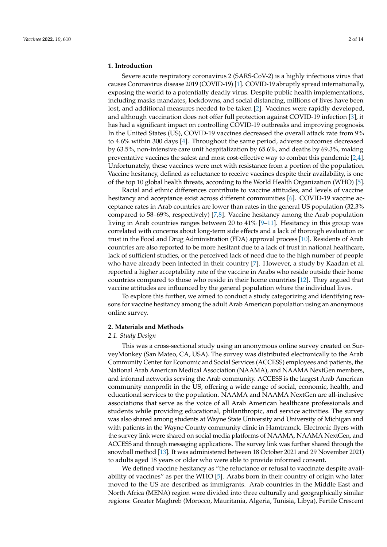#### **1. Introduction**

Severe acute respiratory coronavirus 2 (SARS-CoV-2) is a highly infectious virus that causes Coronavirus disease 2019 (COVID-19) [\[1\]](#page-13-0). COVID-19 abruptly spread internationally, exposing the world to a potentially deadly virus. Despite public health implementations, including masks mandates, lockdowns, and social distancing, millions of lives have been lost, and additional measures needed to be taken [\[2\]](#page-13-1). Vaccines were rapidly developed, and although vaccination does not offer full protection against COVID-19 infection [\[3\]](#page-13-2), it has had a significant impact on controlling COVID-19 outbreaks and improving prognosis. In the United States (US), COVID-19 vaccines decreased the overall attack rate from 9% to 4.6% within 300 days [\[4\]](#page-13-3). Throughout the same period, adverse outcomes decreased by 63.5%, non-intensive care unit hospitalization by 65.6%, and deaths by 69.3%, making preventative vaccines the safest and most cost-effective way to combat this pandemic [\[2](#page-13-1)[,4\]](#page-13-3). Unfortunately, these vaccines were met with resistance from a portion of the population. Vaccine hesitancy, defined as reluctance to receive vaccines despite their availability, is one of the top 10 global health threats, according to the World Health Organization (WHO) [\[5\]](#page-14-0).

Racial and ethnic differences contribute to vaccine attitudes, and levels of vaccine hesitancy and acceptance exist across different communities [\[6\]](#page-14-1). COVID-19 vaccine acceptance rates in Arab countries are lower than rates in the general US population (32.3% compared to 58–69%, respectively) [\[7](#page-14-2)[,8\]](#page-14-3). Vaccine hesitancy among the Arab population living in Arab countries ranges between 20 to 41% [\[9](#page-14-4)[–11\]](#page-14-5). Hesitancy in this group was correlated with concerns about long-term side effects and a lack of thorough evaluation or trust in the Food and Drug Administration (FDA) approval process [\[10\]](#page-14-6). Residents of Arab countries are also reported to be more hesitant due to a lack of trust in national healthcare, lack of sufficient studies, or the perceived lack of need due to the high number of people who have already been infected in their country [\[7\]](#page-14-2). However, a study by Kaadan et al. reported a higher acceptability rate of the vaccine in Arabs who reside outside their home countries compared to those who reside in their home countries [\[12\]](#page-14-7). They argued that vaccine attitudes are influenced by the general population where the individual lives.

To explore this further, we aimed to conduct a study categorizing and identifying reasons for vaccine hesitancy among the adult Arab American population using an anonymous online survey.

#### **2. Materials and Methods**

#### *2.1. Study Design*

This was a cross-sectional study using an anonymous online survey created on SurveyMonkey (San Mateo, CA, USA). The survey was distributed electronically to the Arab Community Center for Economic and Social Services (ACCESS) employees and patients, the National Arab American Medical Association (NAAMA), and NAAMA NextGen members, and informal networks serving the Arab community. ACCESS is the largest Arab American community nonprofit in the US, offering a wide range of social, economic, health, and educational services to the population. NAAMA and NAAMA NextGen are all-inclusive associations that serve as the voice of all Arab American healthcare professionals and students while providing educational, philanthropic, and service activities. The survey was also shared among students at Wayne State University and University of Michigan and with patients in the Wayne County community clinic in Hamtramck. Electronic flyers with the survey link were shared on social media platforms of NAAMA, NAAMA NextGen, and ACCESS and through messaging applications. The survey link was further shared through the snowball method [\[13\]](#page-14-8). It was administered between 18 October 2021 and 29 November 2021) to adults aged 18 years or older who were able to provide informed consent.

We defined vaccine hesitancy as "the reluctance or refusal to vaccinate despite availability of vaccines" as per the WHO [\[5\]](#page-14-0). Arabs born in their country of origin who later moved to the US are described as immigrants. Arab countries in the Middle East and North Africa (MENA) region were divided into three culturally and geographically similar regions: Greater Maghreb (Morocco, Mauritania, Algeria, Tunisia, Libya), Fertile Crescent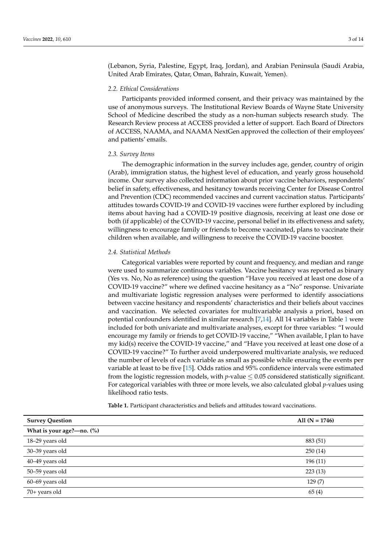(Lebanon, Syria, Palestine, Egypt, Iraq, Jordan), and Arabian Peninsula (Saudi Arabia, United Arab Emirates, Qatar, Oman, Bahrain, Kuwait, Yemen).

#### *2.2. Ethical Considerations*

Participants provided informed consent, and their privacy was maintained by the use of anonymous surveys. The Institutional Review Boards of Wayne State University School of Medicine described the study as a non-human subjects research study. The Research Review process at ACCESS provided a letter of support. Each Board of Directors of ACCESS, NAAMA, and NAAMA NextGen approved the collection of their employees' and patients' emails.

#### *2.3. Survey Items*

The demographic information in the survey includes age, gender, country of origin (Arab), immigration status, the highest level of education, and yearly gross household income. Our survey also collected information about prior vaccine behaviors, respondents' belief in safety, effectiveness, and hesitancy towards receiving Center for Disease Control and Prevention (CDC) recommended vaccines and current vaccination status. Participants' attitudes towards COVID-19 and COVID-19 vaccines were further explored by including items about having had a COVID-19 positive diagnosis, receiving at least one dose or both (if applicable) of the COVID-19 vaccine, personal belief in its effectiveness and safety, willingness to encourage family or friends to become vaccinated, plans to vaccinate their children when available, and willingness to receive the COVID-19 vaccine booster.

#### *2.4. Statistical Methods*

Categorical variables were reported by count and frequency, and median and range were used to summarize continuous variables. Vaccine hesitancy was reported as binary (Yes vs. No, No as reference) using the question "Have you received at least one dose of a COVID-19 vaccine?" where we defined vaccine hesitancy as a "No" response. Univariate and multivariate logistic regression analyses were performed to identify associations between vaccine hesitancy and respondents' characteristics and their beliefs about vaccines and vaccination. We selected covariates for multivariable analysis a priori, based on potential confounders identified in similar research [\[7](#page-14-2)[,14\]](#page-14-9). All 14 variables in Table [1](#page-7-0) were included for both univariate and multivariate analyses, except for three variables: "I would encourage my family or friends to get COVID-19 vaccine," "When available, I plan to have my kid(s) receive the COVID-19 vaccine," and "Have you received at least one dose of a COVID-19 vaccine?" To further avoid underpowered multivariate analysis, we reduced the number of levels of each variable as small as possible while ensuring the events per variable at least to be five [\[15\]](#page-14-10). Odds ratios and 95% confidence intervals were estimated from the logistic regression models, with  $p$ -value  $\leq 0.05$  considered statistically significant. For categorical variables with three or more levels, we also calculated global *p*-values using likelihood ratio tests.

| Survey Question           | All $(N = 1746)$ |
|---------------------------|------------------|
| What is your age?—no. (%) |                  |

**Table 1.** Participant characteristics and beliefs and attitudes toward vaccinations.

| What is your age?—no. $(\%)$<br>18-29 years old<br>883 (51)<br>30-39 years old<br>250(14)<br>40-49 years old<br>196(11)<br>50-59 years old<br>223(13)<br>60-69 years old<br>129(7)<br>70+ years old<br>65(4) |  |
|--------------------------------------------------------------------------------------------------------------------------------------------------------------------------------------------------------------|--|
|                                                                                                                                                                                                              |  |
|                                                                                                                                                                                                              |  |
|                                                                                                                                                                                                              |  |
|                                                                                                                                                                                                              |  |
|                                                                                                                                                                                                              |  |
|                                                                                                                                                                                                              |  |
|                                                                                                                                                                                                              |  |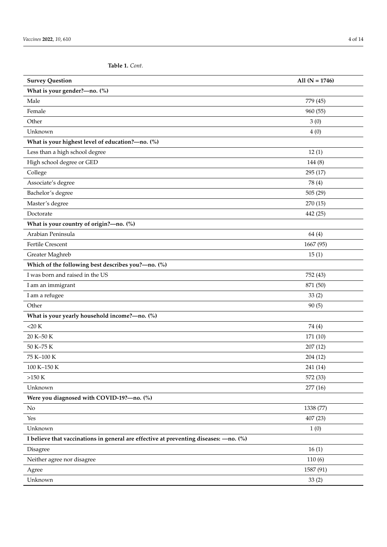**Table 1.** *Cont.*

| <b>Survey Question</b>                                                                 | All $(N = 1746)$ |
|----------------------------------------------------------------------------------------|------------------|
| What is your gender?-no. (%)                                                           |                  |
| Male                                                                                   | 779 (45)         |
| Female                                                                                 | 960 (55)         |
| Other                                                                                  | 3(0)             |
| Unknown                                                                                | 4(0)             |
| What is your highest level of education?-no. (%)                                       |                  |
| Less than a high school degree                                                         | 12(1)            |
| High school degree or GED                                                              | 144(8)           |
| College                                                                                | 295 (17)         |
| Associate's degree                                                                     | 78 (4)           |
| Bachelor's degree                                                                      | 505(29)          |
| Master's degree                                                                        | 270 (15)         |
| Doctorate                                                                              | 442 (25)         |
| What is your country of origin?-no. (%)                                                |                  |
| Arabian Peninsula                                                                      | 64 (4)           |
| <b>Fertile Crescent</b>                                                                | 1667 (95)        |
| Greater Maghreb                                                                        | 15(1)            |
| Which of the following best describes you?-no. (%)                                     |                  |
| I was born and raised in the US                                                        | 752 (43)         |
| I am an immigrant                                                                      | 871 (50)         |
| I am a refugee                                                                         | 33(2)            |
| Other                                                                                  | 90(5)            |
| What is your yearly household income?-no. (%)                                          |                  |
| $<$ 20 K                                                                               | 74 (4)           |
| 20 K-50 K                                                                              | 171 (10)         |
| 50 K-75 K                                                                              | 207(12)          |
| 75 K-100 K                                                                             | 204 (12)         |
| 100 K-150 K                                                                            | 241 (14)         |
| $>150 K$                                                                               | 572 (33)         |
| Unknown                                                                                | 277(16)          |
| Were you diagnosed with COVID-19?-no. (%)                                              |                  |
| No                                                                                     | 1338 (77)        |
| Yes                                                                                    | 407(23)          |
| Unknown                                                                                | 1(0)             |
| I believe that vaccinations in general are effective at preventing diseases: - no. (%) |                  |
| Disagree                                                                               | 16(1)            |
| Neither agree nor disagree                                                             | 110(6)           |
| Agree                                                                                  | 1587 (91)        |
| Unknown                                                                                | 33(2)            |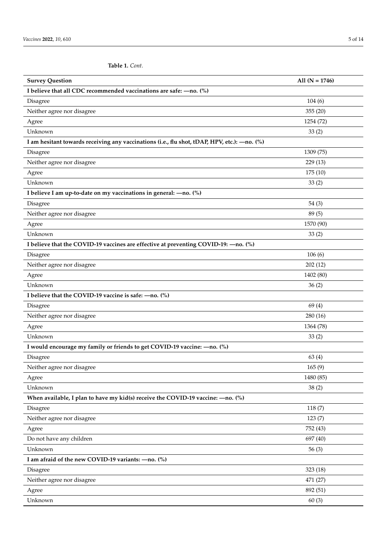**Table 1.** *Cont.*

| <b>Survey Question</b>                                                                        | All $(N = 1746)$ |
|-----------------------------------------------------------------------------------------------|------------------|
| I believe that all CDC recommended vaccinations are safe: $-$ no. $\binom{9}{0}$              |                  |
| Disagree                                                                                      | 104(6)           |
| Neither agree nor disagree                                                                    | 355(20)          |
| Agree                                                                                         | 1254 (72)        |
| Unknown                                                                                       | 33(2)            |
| I am hesitant towards receiving any vaccinations (i.e., flu shot, tDAP, HPV, etc.): - no. (%) |                  |
| Disagree                                                                                      | 1309 (75)        |
| Neither agree nor disagree                                                                    | 229(13)          |
| Agree                                                                                         | 175(10)          |
| Unknown                                                                                       | 33(2)            |
| I believe I am up-to-date on my vaccinations in general: - no. (%)                            |                  |
| Disagree                                                                                      | 54(3)            |
| Neither agree nor disagree                                                                    | 89 (5)           |
| Agree                                                                                         | 1570 (90)        |
| Unknown                                                                                       | 33(2)            |
| I believe that the COVID-19 vaccines are effective at preventing COVID-19: - no. (%)          |                  |
| Disagree                                                                                      | 106(6)           |
| Neither agree nor disagree                                                                    | 202(12)          |
| Agree                                                                                         | 1402 (80)        |
| Unknown                                                                                       | 36(2)            |
| I believe that the COVID-19 vaccine is safe: - no. (%)                                        |                  |
| Disagree                                                                                      | 69(4)            |
| Neither agree nor disagree                                                                    | 280(16)          |
| Agree                                                                                         | 1364 (78)        |
| Unknown                                                                                       | 33(2)            |
| I would encourage my family or friends to get COVID-19 vaccine: - no. (%)                     |                  |
| Disagree                                                                                      | 63(4)            |
| Neither agree nor disagree                                                                    | 165(9)           |
| Agree                                                                                         | 1480 (85)        |
| Unknown                                                                                       | 38(2)            |
| When available, I plan to have my kid(s) receive the COVID-19 vaccine: $-$ no. (%)            |                  |
| Disagree                                                                                      | 118(7)           |
| Neither agree nor disagree                                                                    | 123(7)           |
| Agree                                                                                         | 752 (43)         |
| Do not have any children                                                                      | 697 (40)         |
| Unknown                                                                                       | 56(3)            |
| I am afraid of the new COVID-19 variants: - no. (%)                                           |                  |
| Disagree                                                                                      | 323(18)          |
| Neither agree nor disagree                                                                    | 471 (27)         |
| Agree                                                                                         | 892 (51)         |
| Unknown                                                                                       | 60(3)            |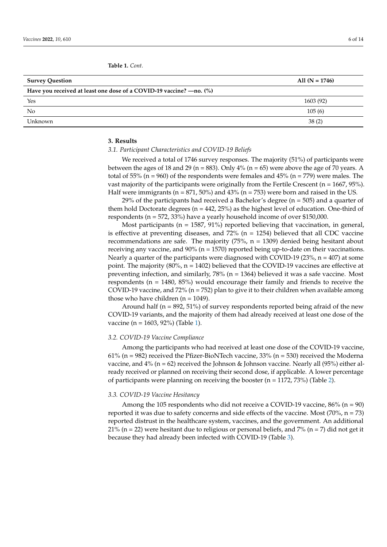<span id="page-7-0"></span>**Table 1.** *Cont.*

| <b>Survey Question</b>                                              | All $(N = 1746)$ |
|---------------------------------------------------------------------|------------------|
| Have you received at least one dose of a COVID-19 vaccine? —no. (%) |                  |
| Yes                                                                 | 1603 (92)        |
| N <sub>0</sub>                                                      | 105(6)           |
| Unknown                                                             | 38(2)            |

#### **3. Results**

#### *3.1. Participant Characteristics and COVID-19 Beliefs*

We received a total of 1746 survey responses. The majority (51%) of participants were between the ages of 18 and 29 (n = 883). Only  $4\%$  (n = 65) were above the age of 70 years. A total of 55% (n = 960) of the respondents were females and 45% (n = 779) were males. The vast majority of the participants were originally from the Fertile Crescent (n = 1667, 95%). Half were immigrants ( $n = 871, 50\%$ ) and  $43\%$  ( $n = 753$ ) were born and raised in the US.

29% of the participants had received a Bachelor's degree (n = 505) and a quarter of them hold Doctorate degrees (n = 442, 25%) as the highest level of education. One-third of respondents (n = 572, 33%) have a yearly household income of over \$150,000.

Most participants ( $n = 1587, 91\%$ ) reported believing that vaccination, in general, is effective at preventing diseases, and  $72\%$  (n = 1254) believed that all CDC vaccine recommendations are safe. The majority (75%,  $n = 1309$ ) denied being hesitant about receiving any vaccine, and  $90\%$  (n = 1570) reported being up-to-date on their vaccinations. Nearly a quarter of the participants were diagnosed with COVID-19 (23%,  $n = 407$ ) at some point. The majority (80%, n = 1402) believed that the COVID-19 vaccines are effective at preventing infection, and similarly, 78% (n = 1364) believed it was a safe vaccine. Most respondents ( $n = 1480, 85\%$ ) would encourage their family and friends to receive the COVID-19 vaccine, and 72% (n = 752) plan to give it to their children when available among those who have children  $(n = 1049)$ .

Around half ( $n = 892, 51\%$ ) of survey respondents reported being afraid of the new COVID-19 variants, and the majority of them had already received at least one dose of the vaccine (n = 1603, 92%) (Table [1\)](#page-7-0).

#### *3.2. COVID-19 Vaccine Compliance*

Among the participants who had received at least one dose of the COVID-19 vaccine, 61% ( $n = 982$ ) received the Pfizer-BioNTech vaccine, 33% ( $n = 530$ ) received the Moderna vaccine, and  $4\%$  (n = 62) received the Johnson & Johnson vaccine. Nearly all (95%) either already received or planned on receiving their second dose, if applicable. A lower percentage of participants were planning on receiving the booster ( $n = 1172, 73\%$ ) (Table [2\)](#page-8-0).

#### *3.3. COVID-19 Vaccine Hesitancy*

Among the 105 respondents who did not receive a COVID-19 vaccine,  $86\%$  (n = 90) reported it was due to safety concerns and side effects of the vaccine. Most  $(70\%$ ,  $n = 73)$ reported distrust in the healthcare system, vaccines, and the government. An additional 21% (n = 22) were hesitant due to religious or personal beliefs, and  $7\%$  (n = 7) did not get it because they had already been infected with COVID-19 (Table [3\)](#page-8-1).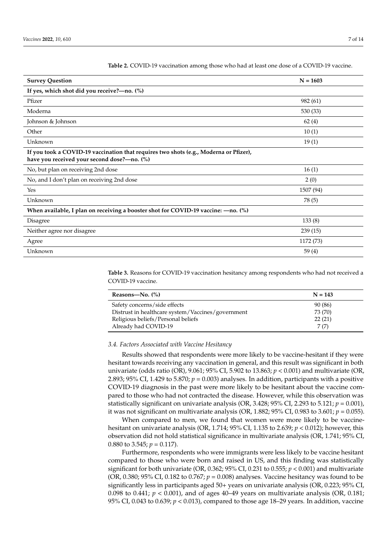| <b>Survey Question</b>                                                                                                               | $N = 1603$ |
|--------------------------------------------------------------------------------------------------------------------------------------|------------|
| If yes, which shot did you receive?-no. (%)                                                                                          |            |
| Pfizer                                                                                                                               | 982 (61)   |
| Moderna                                                                                                                              | 530 (33)   |
| Johnson & Johnson                                                                                                                    | 62(4)      |
| Other                                                                                                                                | 10(1)      |
| Unknown                                                                                                                              | 19(1)      |
| If you took a COVID-19 vaccination that requires two shots (e.g., Moderna or Pfizer),<br>have you received your second dose?-no. (%) |            |
| No, but plan on receiving 2nd dose                                                                                                   | 16(1)      |
| No, and I don't plan on receiving 2nd dose                                                                                           | 2(0)       |
| Yes                                                                                                                                  | 1507 (94)  |
| Unknown                                                                                                                              | 78 (5)     |
| When available, I plan on receiving a booster shot for COVID-19 vaccine: - no. (%)                                                   |            |
| Disagree                                                                                                                             | 133(8)     |
| Neither agree nor disagree                                                                                                           | 239(15)    |
| Agree                                                                                                                                | 1172 (73)  |
| Unknown                                                                                                                              | 59(4)      |

<span id="page-8-0"></span>**Table 2.** COVID-19 vaccination among those who had at least one dose of a COVID-19 vaccine.

<span id="page-8-1"></span>**Table 3.** Reasons for COVID-19 vaccination hesitancy among respondents who had not received a COVID-19 vaccine.

| Reasons—No. $(\%)$                                | $N = 143$ |
|---------------------------------------------------|-----------|
| Safety concerns/side effects                      | 90 (86)   |
| Distrust in healthcare system/Vaccines/government | 73 (70)   |
| Religious beliefs/Personal beliefs                | 22(21)    |
| Already had COVID-19                              | 7(7)      |

#### *3.4. Factors Associated with Vaccine Hesitancy*

 $\overline{a}$ 

Results showed that respondents were more likely to be vaccine-hesitant if they were hesitant towards receiving any vaccination in general, and this result was significant in both univariate (odds ratio (OR), 9.061; 95% CI, 5.902 to 13.863; *p* < 0.001) and multivariate (OR, 2.893; 95% CI, 1.429 to 5.870; *p* = 0.003) analyses. In addition, participants with a positive COVID-19 diagnosis in the past were more likely to be hesitant about the vaccine compared to those who had not contracted the disease. However, while this observation was statistically significant on univariate analysis (OR, 3.428; 95% CI, 2.293 to 5.121; *p* = 0.001), it was not significant on multivariate analysis (OR, 1.882;  $95\%$  CI, 0.983 to 3.601;  $p = 0.055$ ).

When compared to men, we found that women were more likely to be vaccinehesitant on univariate analysis (OR, 1.714; 95% CI, 1.135 to 2.639; *p* < 0.012); however, this observation did not hold statistical significance in multivariate analysis (OR, 1.741; 95% CI, 0.880 to 3.545;  $p = 0.117$ ).

Furthermore, respondents who were immigrants were less likely to be vaccine hesitant compared to those who were born and raised in US, and this finding was statistically significant for both univariate (OR, 0.362; 95% CI, 0.231 to 0.555;  $p < 0.001$ ) and multivariate (OR, 0.380; 95% CI, 0.182 to 0.767; *p* = 0.008) analyses. Vaccine hesitancy was found to be significantly less in participants aged 50+ years on univariate analysis (OR, 0.223; 95% CI, 0.098 to 0.441;  $p < 0.001$ ), and of ages 40–49 years on multivariate analysis (OR, 0.181; 95% CI, 0.043 to 0.639; *p* < 0.013), compared to those age 18–29 years. In addition, vaccine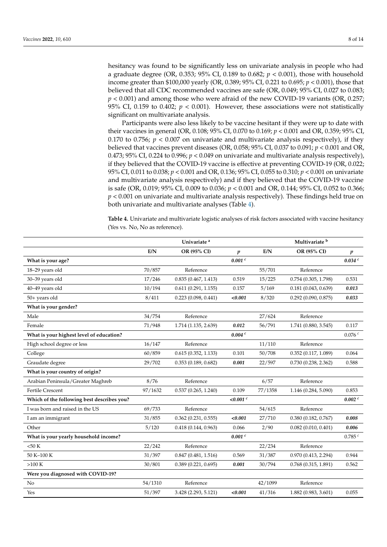hesitancy was found to be significantly less on univariate analysis in people who had a graduate degree (OR, 0.353; 95% CI, 0.189 to 0.682; *p* < 0.001), those with household income greater than \$100,000 yearly (OR, 0.389; 95% CI, 0.221 to 0.695; *p* < 0.001), those that believed that all CDC recommended vaccines are safe (OR, 0.049; 95% CI, 0.027 to 0.083; *p* < 0.001) and among those who were afraid of the new COVID-19 variants (OR, 0.257; 95% CI, 0.159 to 0.402;  $p < 0.001$ ). However, these associations were not statistically significant on multivariate analysis.

Participants were also less likely to be vaccine hesitant if they were up to date with their vaccines in general (OR, 0.108; 95% CI, 0.070 to 0.169; *p* < 0.001 and OR, 0.359; 95% CI, 0.170 to 0.756;  $p < 0.007$  on univariate and multivariate analysis respectively), if they believed that vaccines prevent diseases (OR, 0.058; 95% CI, 0.037 to 0.091; *p* < 0.001 and OR, 0.473; 95% CI, 0.224 to 0.996;  $p < 0.049$  on univariate and multivariate analysis respectively), if they believed that the COVID-19 vaccine is effective at preventing COVID-19 (OR, 0.022; 95% CI, 0.011 to 0.038; *p* < 0.001 and OR, 0.136; 95% CI, 0.055 to 0.310; *p* < 0.001 on univariate and multivariate analysis respectively) and if they believed that the COVID-19 vaccine is safe (OR, 0.019; 95% CI, 0.009 to 0.036; *p* < 0.001 and OR, 0.144; 95% CI, 0.052 to 0.366; *p* < 0.001 on univariate and multivariate analysis respectively). These findings held true on both univariate and multivariate analyses (Table [4\)](#page-10-0).

**Table 4.** Univariate and multivariate logistic analyses of risk factors associated with vaccine hesitancy (Yes vs. No, No as reference).

|                                            |         | Univariate <sup>a</sup>  |                  |         | Multivariate <sup>b</sup> |                  |
|--------------------------------------------|---------|--------------------------|------------------|---------|---------------------------|------------------|
|                                            | E/N     | OR (95% CI)              | $\boldsymbol{p}$ | E/N     | OR (95% CI)               | $\boldsymbol{p}$ |
| What is your age?                          |         |                          | 0.001c           |         |                           | 0.034c           |
| 18-29 years old                            | 70/857  | Reference                |                  | 55/701  | Reference                 |                  |
| 30-39 years old                            | 17/246  | 0.835(0.467, 1.413)      | 0.519            | 15/225  | 0.754(0.305, 1.798)       | 0.531            |
| 40-49 years old                            | 10/194  | 0.611(0.291, 1.155)      | 0.157            | 5/169   | 0.181(0.043, 0.639)       | 0.013            |
| 50+ years old                              | 8/411   | 0.223(0.098, 0.441)      | < 0.001          | 8/320   | 0.292(0.090, 0.875)       | 0.033            |
| What is your gender?                       |         |                          |                  |         |                           |                  |
| Male                                       | 34/754  | Reference                |                  | 27/624  | Reference                 |                  |
| Female                                     | 71/948  | 1.714 (1.135, 2.639)     | 0.012            | 56/791  | 1.741(0.880, 3.545)       | 0.117            |
| What is your highest level of education?   |         |                          | 0.004c           |         |                           | 0.076c           |
| High school degree or less                 | 16/147  | Reference                |                  | 11/110  | Reference                 |                  |
| College                                    | 60/859  | 0.615(0.352, 1.133)      | 0.101            | 50/708  | 0.352(0.117, 1.089)       | 0.064            |
| Graudate degree                            | 29/702  | 0.353(0.189, 0.682)      | 0.001            | 22/597  | 0.730(0.238, 2.362)       | 0.588            |
| What is your country of origin?            |         |                          |                  |         |                           |                  |
| Arabian Peninsula/Greater Maghreb          | 8/76    | Reference                |                  | 6/57    | Reference                 |                  |
| <b>Fertile Crescent</b>                    | 97/1632 | 0.537(0.265, 1.240)      | 0.109            | 77/1358 | 1.146 (0.284, 5.090)      | 0.853            |
| Which of the following best describes you? |         |                          | $< 0.001$ c      |         |                           | 0.002 c          |
| I was born and raised in the US            | 69/733  | Reference                |                  | 54/615  | Reference                 |                  |
| I am an immigrant                          | 31/855  | $0.362$ $(0.231, 0.555)$ | < 0.001          | 27/710  | 0.380(0.182, 0.767)       | 0.008            |
| Other                                      | 5/120   | 0.418(0.144, 0.963)      | 0.066            | 2/90    | 0.082(0.010, 0.401)       | 0.006            |
| What is your yearly household income?      |         |                          | 0.001c           |         |                           | 0.785c           |
| $<$ 50 K                                   | 22/242  | Reference                |                  | 22/234  | Reference                 |                  |
| 50 K-100 K                                 | 31/397  | 0.847(0.481, 1.516)      | 0.569            | 31/387  | 0.970(0.413, 2.294)       | 0.944            |
| $>100 K$                                   | 30/801  | 0.389(0.221, 0.695)      | 0.001            | 30/794  | 0.768(0.315, 1.891)       | 0.562            |
| Were you diagnosed with COVID-19?          |         |                          |                  |         |                           |                  |
| No                                         | 54/1310 | Reference                |                  | 42/1099 | Reference                 |                  |
| Yes                                        | 51/397  | 3.428 (2.293, 5.121)     | < 0.001          | 41/316  | 1.882 (0.983, 3.601)      | 0.055            |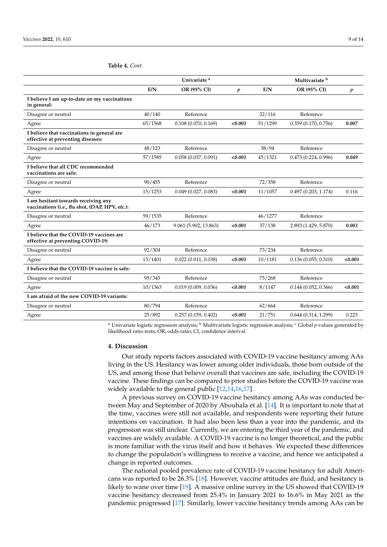<span id="page-10-0"></span>

|  |  | <b>Table 4. Cont.</b> |
|--|--|-----------------------|
|--|--|-----------------------|

|                                                                                        |         | Univariate <sup>a</sup> |                  |         | Multivariate b       |         |
|----------------------------------------------------------------------------------------|---------|-------------------------|------------------|---------|----------------------|---------|
|                                                                                        | E/N     | OR (95% CI)             | $\boldsymbol{p}$ | E/N     | OR (95% CI)          | p       |
| I believe I am up-to-date on my vaccinations<br>in general:                            |         |                         |                  |         |                      |         |
| Disagree or neutral                                                                    | 40/140  | Reference               |                  | 32/116  | Reference            |         |
| Agree                                                                                  | 65/1568 | 0.108(0.070, 0.169)     | < 0.001          | 51/1299 | 0.359(0.170, 0.756)  | 0.007   |
| I believe that vaccinations in general are<br>effective at preventing diseases:        |         |                         |                  |         |                      |         |
| Disagree or neutral                                                                    | 48/123  | Reference               |                  | 38/94   | Reference            |         |
| Agree                                                                                  | 57/1585 | 0.058(0.037, 0.091)     | < 0.001          | 45/1321 | 0.473(0.224, 0.996)  | 0.049   |
| I believe that all CDC recommended<br>vaccinations are safe:                           |         |                         |                  |         |                      |         |
| Disagree or neutral                                                                    | 90/455  | Reference               |                  | 72/358  | Reference            |         |
| Agree                                                                                  | 15/1253 | 0.049(0.027, 0.083)     | < 0.001          | 11/1057 | 0.497(0.203, 1.174)  | 0.116   |
| I am hesitant towards receiving any<br>vaccinations (i.e., flu shot, tDAP, HPV, etc.): |         |                         |                  |         |                      |         |
| Disagree or neutral                                                                    | 59/1535 | Reference               |                  | 46/1277 | Reference            |         |
| Agree                                                                                  | 46/173  | 9.061 (5.902, 13.863)   | < 0.001          | 37/138  | 2.893 (1.429, 5.870) | 0.003   |
| I believe that the COVID-19 vaccines are<br>effective at preventing COVID-19:          |         |                         |                  |         |                      |         |
| Disagree or neutral                                                                    | 92/304  | Reference               |                  | 73/234  | Reference            |         |
| Agree                                                                                  | 13/1401 | 0.022(0.011, 0.038)     | < 0.001          | 10/1181 | 0.136(0.055, 0.310)  | < 0.001 |
| I believe that the COVID-19 vaccine is safe:                                           |         |                         |                  |         |                      |         |
| Disagree or neutral                                                                    | 95/345  | Reference               |                  | 75/268  | Reference            |         |
| Agree                                                                                  | 10/1363 | 0.019(0.009, 0.036)     | < 0.001          | 8/1147  | 0.144(0.052, 0.366)  | < 0.001 |
| I am afraid of the new COVID-19 variants:                                              |         |                         |                  |         |                      |         |
| Disagree or neutral                                                                    | 80/794  | Reference               |                  | 62/664  | Reference            |         |
| Agree                                                                                  | 25/892  | 0.257(0.159, 0.402)     | < 0.001          | 21/751  | 0.644(0.314, 1.299)  | 0.223   |

<sup>a</sup> Univariate logistic regression analysis; <sup>b</sup> Multivariate logistic regression analysis; <sup>c</sup> Global *p*-values generated by likelihood ratio tests; OR, odds ratio; CI, confidence interval.

#### **4. Discussion**

Our study reports factors associated with COVID-19 vaccine hesitancy among AAs living in the US. Hesitancy was lower among older individuals, those born outside of the US, and among those that believe overall that vaccines are safe, including the COVID-19 vaccine. These findings can be compared to prior studies before the COVID-19 vaccine was widely available to the general public [\[12,](#page-14-7)[14,](#page-14-9)[16,](#page-14-11)[17\]](#page-14-12).

A previous survey on COVID-19 vaccine hesitancy among AAs was conducted between May and September of 2020 by Abouhala et al. [\[14\]](#page-14-9). It is important to note that at the time, vaccines were still not available, and respondents were reporting their future intentions on vaccination. It had also been less than a year into the pandemic, and its progression was still unclear. Currently, we are entering the third year of the pandemic, and vaccines are widely available. A COVID-19 vaccine is no longer theoretical, and the public is more familiar with the virus itself and how it behaves. We expected these differences to change the population's willingness to receive a vaccine, and hence we anticipated a change in reported outcomes.

The national pooled prevalence rate of COVID-19 vaccine hesitancy for adult Americans was reported to be 26.3% [\[18\]](#page-14-13). However, vaccine attitudes are fluid, and hesitancy is likely to wane over time [\[19\]](#page-14-14). A massive online survey in the US showed that COVID-19 vaccine hesitancy decreased from 25.4% in January 2021 to 16.6% in May 2021 as the pandemic progressed [\[17\]](#page-14-12). Similarly, lower vaccine hesitancy trends among AAs can be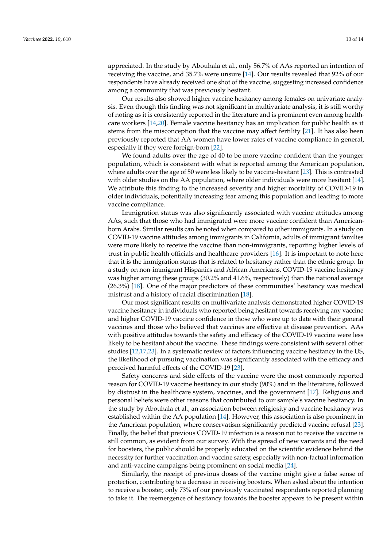appreciated. In the study by Abouhala et al., only 56.7% of AAs reported an intention of receiving the vaccine, and 35.7% were unsure [\[14\]](#page-14-9). Our results revealed that 92% of our respondents have already received one shot of the vaccine, suggesting increased confidence among a community that was previously hesitant.

Our results also showed higher vaccine hesitancy among females on univariate analysis. Even though this finding was not significant in multivariate analysis, it is still worthy of noting as it is consistently reported in the literature and is prominent even among healthcare workers [\[14,](#page-14-9)[20\]](#page-14-15). Female vaccine hesitancy has an implication for public health as it stems from the misconception that the vaccine may affect fertility [\[21\]](#page-14-16). It has also been previously reported that AA women have lower rates of vaccine compliance in general, especially if they were foreign-born [\[22\]](#page-14-17).

We found adults over the age of 40 to be more vaccine confident than the younger population, which is consistent with what is reported among the American population, where adults over the age of 50 were less likely to be vaccine-hesitant [\[23\]](#page-14-18). This is contrasted with older studies on the AA population, where older individuals were more hesitant [\[14\]](#page-14-9). We attribute this finding to the increased severity and higher mortality of COVID-19 in older individuals, potentially increasing fear among this population and leading to more vaccine compliance.

Immigration status was also significantly associated with vaccine attitudes among AAs, such that those who had immigrated were more vaccine confident than Americanborn Arabs. Similar results can be noted when compared to other immigrants. In a study on COVID-19 vaccine attitudes among immigrants in California, adults of immigrant families were more likely to receive the vaccine than non-immigrants, reporting higher levels of trust in public health officials and healthcare providers [\[16\]](#page-14-11). It is important to note here that it is the immigration status that is related to hesitancy rather than the ethnic group. In a study on non-immigrant Hispanics and African Americans, COVID-19 vaccine hesitancy was higher among these groups (30.2% and 41.6%, respectively) than the national average (26.3%) [\[18\]](#page-14-13). One of the major predictors of these communities' hesitancy was medical mistrust and a history of racial discrimination [\[18\]](#page-14-13).

Our most significant results on multivariate analysis demonstrated higher COVID-19 vaccine hesitancy in individuals who reported being hesitant towards receiving any vaccine and higher COVID-19 vaccine confidence in those who were up to date with their general vaccines and those who believed that vaccines are effective at disease prevention. AAs with positive attitudes towards the safety and efficacy of the COVID-19 vaccine were less likely to be hesitant about the vaccine. These findings were consistent with several other studies [\[12](#page-14-7)[,17](#page-14-12)[,23\]](#page-14-18). In a systematic review of factors influencing vaccine hesitancy in the US, the likelihood of pursuing vaccination was significantly associated with the efficacy and perceived harmful effects of the COVID-19 [\[23\]](#page-14-18).

Safety concerns and side effects of the vaccine were the most commonly reported reason for COVID-19 vaccine hesitancy in our study (90%) and in the literature, followed by distrust in the healthcare system, vaccines, and the government [\[17\]](#page-14-12). Religious and personal beliefs were other reasons that contributed to our sample's vaccine hesitancy. In the study by Abouhala et al., an association between religiosity and vaccine hesitancy was established within the AA population [\[14\]](#page-14-9). However, this association is also prominent in the American population, where conservatism significantly predicted vaccine refusal [\[23\]](#page-14-18). Finally, the belief that previous COVID-19 infection is a reason not to receive the vaccine is still common, as evident from our survey. With the spread of new variants and the need for boosters, the public should be properly educated on the scientific evidence behind the necessity for further vaccination and vaccine safety, especially with non-factual information and anti-vaccine campaigns being prominent on social media [\[24\]](#page-14-19).

Similarly, the receipt of previous doses of the vaccine might give a false sense of protection, contributing to a decrease in receiving boosters. When asked about the intention to receive a booster, only 73% of our previously vaccinated respondents reported planning to take it. The reemergence of hesitancy towards the booster appears to be present within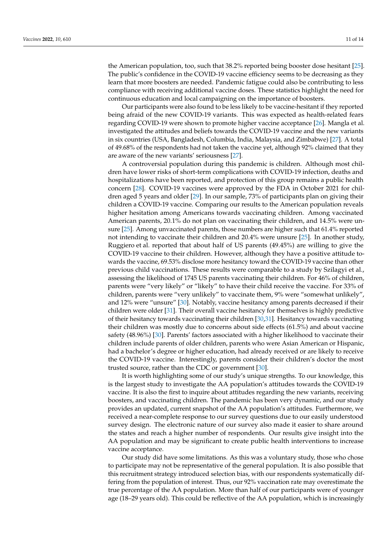the American population, too, such that 38.2% reported being booster dose hesitant [\[25\]](#page-14-20). The public's confidence in the COVID-19 vaccine efficiency seems to be decreasing as they learn that more boosters are needed. Pandemic fatigue could also be contributing to less compliance with receiving additional vaccine doses. These statistics highlight the need for continuous education and local campaigning on the importance of boosters.

Our participants were also found to be less likely to be vaccine-hesitant if they reported being afraid of the new COVID-19 variants. This was expected as health-related fears regarding COVID-19 were shown to promote higher vaccine acceptance [\[26\]](#page-14-21). Mangla et al. investigated the attitudes and beliefs towards the COVID-19 vaccine and the new variants in six countries (USA, Bangladesh, Columbia, India, Malaysia, and Zimbabwe) [\[27\]](#page-14-22). A total of 49.68% of the respondents had not taken the vaccine yet, although 92% claimed that they are aware of the new variants' seriousness [\[27\]](#page-14-22).

A controversial population during this pandemic is children. Although most children have lower risks of short-term complications with COVID-19 infection, deaths and hospitalizations have been reported, and protection of this group remains a public health concern [\[28\]](#page-14-23). COVID-19 vaccines were approved by the FDA in October 2021 for children aged 5 years and older [\[29\]](#page-14-24). In our sample, 73% of participants plan on giving their children a COVID-19 vaccine. Comparing our results to the American population reveals higher hesitation among Americans towards vaccinating children. Among vaccinated American parents, 20.1% do not plan on vaccinating their children, and 14.5% were unsure [\[25\]](#page-14-20). Among unvaccinated parents, those numbers are higher such that 61.4% reported not intending to vaccinate their children and 20.4% were unsure [\[25\]](#page-14-20). In another study, Ruggiero et al. reported that about half of US parents (49.45%) are willing to give the COVID-19 vaccine to their children. However, although they have a positive attitude towards the vaccine, 69.53% disclose more hesitancy toward the COVID-19 vaccine than other previous child vaccinations. These results were comparable to a study by Szilagyi et al., assessing the likelihood of 1745 US parents vaccinating their children. For 46% of children, parents were "very likely" or "likely" to have their child receive the vaccine. For 33% of children, parents were "very unlikely" to vaccinate them, 9% were "somewhat unlikely", and 12% were "unsure" [\[30\]](#page-14-25). Notably, vaccine hesitancy among parents decreased if their children were older [\[31\]](#page-14-26). Their overall vaccine hesitancy for themselves is highly predictive of their hesitancy towards vaccinating their children [\[30,](#page-14-25)[31\]](#page-14-26). Hesitancy towards vaccinating their children was mostly due to concerns about side effects (61.5%) and about vaccine safety (48.96%) [\[30\]](#page-14-25). Parents' factors associated with a higher likelihood to vaccinate their children include parents of older children, parents who were Asian American or Hispanic, had a bachelor's degree or higher education, had already received or are likely to receive the COVID-19 vaccine. Interestingly, parents consider their children's doctor the most trusted source, rather than the CDC or government [\[30\]](#page-14-25).

It is worth highlighting some of our study's unique strengths. To our knowledge, this is the largest study to investigate the AA population's attitudes towards the COVID-19 vaccine. It is also the first to inquire about attitudes regarding the new variants, receiving boosters, and vaccinating children. The pandemic has been very dynamic, and our study provides an updated, current snapshot of the AA population's attitudes. Furthermore, we received a near-complete response to our survey questions due to our easily understood survey design. The electronic nature of our survey also made it easier to share around the states and reach a higher number of respondents. Our results give insight into the AA population and may be significant to create public health interventions to increase vaccine acceptance.

Our study did have some limitations. As this was a voluntary study, those who chose to participate may not be representative of the general population. It is also possible that this recruitment strategy introduced selection bias, with our respondents systematically differing from the population of interest. Thus, our 92% vaccination rate may overestimate the true percentage of the AA population. More than half of our participants were of younger age (18–29 years old). This could be reflective of the AA population, which is increasingly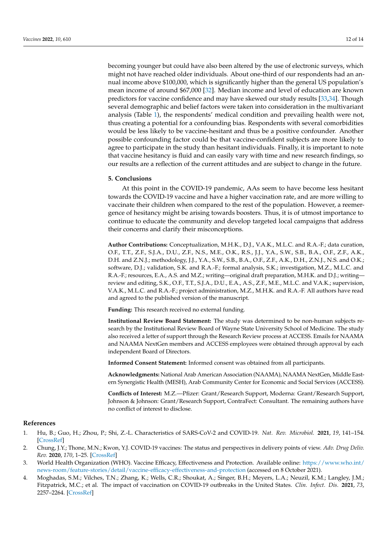becoming younger but could have also been altered by the use of electronic surveys, which might not have reached older individuals. About one-third of our respondents had an annual income above \$100,000, which is significantly higher than the general US population's mean income of around \$67,000 [\[32\]](#page-14-27). Median income and level of education are known predictors for vaccine confidence and may have skewed our study results [\[33](#page-15-0)[,34\]](#page-15-1). Though several demographic and belief factors were taken into consideration in the multivariant analysis (Table [1\)](#page-7-0), the respondents' medical condition and prevailing health were not, thus creating a potential for a confounding bias. Respondents with several comorbidities would be less likely to be vaccine-hesitant and thus be a positive confounder. Another possible confounding factor could be that vaccine-confident subjects are more likely to agree to participate in the study than hesitant individuals. Finally, it is important to note that vaccine hesitancy is fluid and can easily vary with time and new research findings, so our results are a reflection of the current attitudes and are subject to change in the future.

#### **5. Conclusions**

At this point in the COVID-19 pandemic, AAs seem to have become less hesitant towards the COVID-19 vaccine and have a higher vaccination rate, and are more willing to vaccinate their children when compared to the rest of the population. However, a reemergence of hesitancy might be arising towards boosters. Thus, it is of utmost importance to continue to educate the community and develop targeted local campaigns that address their concerns and clarify their misconceptions.

**Author Contributions:** Conceptualization, M.H.K., D.J., V.A.K., M.L.C. and R.A.-F.; data curation, O.F., T.T., Z.F., S.J.A., D.U., Z.F., N.S., M.E., O.K., R.S., J.J., Y.A., S.W., S.B., B.A., O.F., Z.F., A.K., D.H. and Z.N.J.; methodology, J.J., Y.A., S.W., S.B., B.A., O.F., Z.F., A.K., D.H., Z.N.J., N.S. and O.K.; software, D.J.; validation, S.K. and R.A.-F.; formal analysis, S.K.; investigation, M.Z., M.L.C. and R.A.-F.; resources, E.A., A.S. and M.Z.; writing—original draft preparation, M.H.K. and D.J.; writing review and editing, S.K., O.F., T.T., S.J.A., D.U., E.A., A.S., Z.F., M.E., M.L.C. and V.A.K.; supervision, V.A.K., M.L.C. and R.A.-F.; project administration, M.Z., M.H.K. and R.A.-F. All authors have read and agreed to the published version of the manuscript.

**Funding:** This research received no external funding.

**Institutional Review Board Statement:** The study was determined to be non-human subjects research by the Institutional Review Board of Wayne State University School of Medicine. The study also received a letter of support through the Research Review process at ACCESS. Emails for NAAMA and NAAMA NextGen members and ACCESS employees were obtained through approval by each independent Board of Directors.

**Informed Consent Statement:** Informed consent was obtained from all participants.

**Acknowledgments:** National Arab American Association (NAAMA), NAAMA NextGen, Middle Eastern Synergistic Health (MESH), Arab Community Center for Economic and Social Services (ACCESS).

**Conflicts of Interest:** M.Z.—Pfizer: Grant/Research Support, Moderna: Grant/Research Support, Johnson & Johnson: Grant/Research Support, ContraFect: Consultant. The remaining authors have no conflict of interest to disclose.

#### **References**

- <span id="page-13-0"></span>1. Hu, B.; Guo, H.; Zhou, P.; Shi, Z.-L. Characteristics of SARS-CoV-2 and COVID-19. *Nat. Rev. Microbiol.* **2021**, *19*, 141–154. [\[CrossRef\]](http://doi.org/10.1038/s41579-020-00459-7)
- <span id="page-13-1"></span>2. Chung, J.Y.; Thone, M.N.; Kwon, Y.J. COVID-19 vaccines: The status and perspectives in delivery points of view. *Adv. Drug Deliv. Rev.* **2020**, *170*, 1–25. [\[CrossRef\]](http://doi.org/10.1016/j.addr.2020.12.011)
- <span id="page-13-2"></span>3. World Health Organization (WHO). Vaccine Efficacy, Effectiveness and Protection. Available online: [https://www.who.int/](https://www.who.int/news-room/feature-stories/detail/vaccine-efficacy-effectiveness-and-protection) [news-room/feature-stories/detail/vaccine-efficacy-effectiveness-and-protection](https://www.who.int/news-room/feature-stories/detail/vaccine-efficacy-effectiveness-and-protection) (accessed on 8 October 2021).
- <span id="page-13-3"></span>4. Moghadas, S.M.; Vilches, T.N.; Zhang, K.; Wells, C.R.; Shoukat, A.; Singer, B.H.; Meyers, L.A.; Neuzil, K.M.; Langley, J.M.; Fitzpatrick, M.C.; et al. The impact of vaccination on COVID-19 outbreaks in the United States. *Clin. Infect. Dis.* **2021**, *73*, 2257–2264. [\[CrossRef\]](http://doi.org/10.1093/cid/ciab079)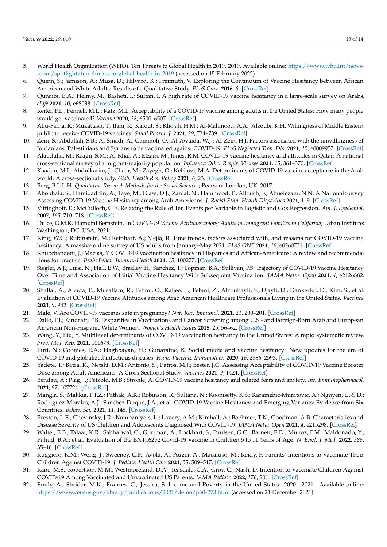- <span id="page-14-0"></span>5. World Health Organization (WHO). Ten Threats to Global Health in 2019. 2019. Available online: [https://www.who.int/news](https://www.who.int/news-room/spotlight/ten-threats-to-global-health-in-2019)[room/spotlight/ten-threats-to-global-health-in-2019](https://www.who.int/news-room/spotlight/ten-threats-to-global-health-in-2019) (accessed on 15 February 2022).
- <span id="page-14-1"></span>6. Quinn, S.; Jamison, A.; Musa, D.; Hilyard, K.; Freimuth, V. Exploring the Continuum of Vaccine Hesitancy between African American and White Adults: Results of a Qualitative Study. *PLoS Curr.* **2016**, *8*. [\[CrossRef\]](http://doi.org/10.1371/currents.outbreaks.3e4a5ea39d8620494e2a2c874a3c4201)
- <span id="page-14-2"></span>7. Qunaibi, E.A.; Helmy, M.; Basheti, I.; Sultan, I. A high rate of COVID-19 vaccine hesitancy in a large-scale survey on Arabs. *eLife* **2021**, *10*, e68038. [\[CrossRef\]](http://doi.org/10.7554/eLife.68038)
- <span id="page-14-3"></span>8. Reiter, P.L.; Pennell, M.L.; Katz, M.L. Acceptability of a COVID-19 vaccine among adults in the United States: How many people would get vaccinated? *Vaccine* **2020**, *38*, 6500–6507. [\[CrossRef\]](http://doi.org/10.1016/j.vaccine.2020.08.043)
- <span id="page-14-4"></span>9. Abu-Farha, R.; Mukattash, T.; Itani, R.; Karout, S.; Khojah, H.M.; Al-Mahmood, A.A.; Alzoubi, K.H. Willingness of Middle Eastern public to receive COVID-19 vaccines. *Saudi Pharm. J.* **2021**, *29*, 734–739. [\[CrossRef\]](http://doi.org/10.1016/j.jsps.2021.05.005)
- <span id="page-14-6"></span>10. Zein, S.; Abdallah, S.B.; Al-Smadi, A.; Gammoh, O.; Al-Awaida, W.J.; Al-Zein, H.J. Factors associated with the unwillingness of Jordanians, Palestinians and Syrians to be vaccinated against COVID-19. *PLoS Neglected Trop. Dis.* **2021**, *15*, e0009957. [\[CrossRef\]](http://doi.org/10.1371/journal.pntd.0009957)
- <span id="page-14-5"></span>11. Alabdulla, M.; Reagu, S.M.; Al-Khal, A.; Elzain, M.; Jones, R.M. COVID-19 vaccine hesitancy and attitudes in Qatar: A national cross-sectional survey of a migrant-majority population. *Influenza Other Respir. Viruses* **2021**, *15*, 361–370. [\[CrossRef\]](http://doi.org/10.1111/irv.12847)
- <span id="page-14-7"></span>12. Kaadan, M.I.; Abdulkarim, J.; Chaar, M.; Zayegh, O.; Keblawi, M.A. Determinants of COVID-19 vaccine acceptance in the Arab world: A cross-sectional study. *Glob. Health Res. Policy* **2021**, *6*, 23. [\[CrossRef\]](http://doi.org/10.1186/s41256-021-00202-6)
- <span id="page-14-8"></span>13. Berg, B.L.L.H. *Qualitative Research Methods for the Social Sciences*; Pearson: London, UK, 2017.
- <span id="page-14-9"></span>14. Abouhala, S.; Hamidaddin, A.; Taye, M.; Glass, D.J.; Zanial, N.; Hammood, F.; Allouch, F.; Abuelezam, N.N. A National Survey Assessing COVID-19 Vaccine Hesitancy among Arab Americans. *J. Racial Ethn. Health Disparities* **2021**, 1–9. [\[CrossRef\]](http://doi.org/10.1007/s40615-021-01158-6)
- <span id="page-14-10"></span>15. Vittinghoff, E.; McCulloch, C.E. Relaxing the Rule of Ten Events per Variable in Logistic and Cox Regression. *Am. J. Epidemiol.* **2007**, *165*, 710–718. [\[CrossRef\]](http://doi.org/10.1093/aje/kwk052)
- <span id="page-14-11"></span>16. Dulce, G.M.K. Hamutal Bernstein. In *COVID-19 Vaccine Attitudes among Adults in Immigrant Families in California*; Urban Institute: Washington, DC, USA, 2021.
- <span id="page-14-12"></span>17. King, W.C.; Rubinstein, M.; Reinhart, A.; Mejia, R. Time trends, factors associated with, and reasons for COVID-19 vaccine hesitancy: A massive online survey of US adults from January–May 2021. *PLoS ONE* **2021**, *16*, e0260731. [\[CrossRef\]](http://doi.org/10.1371/journal.pone.0260731)
- <span id="page-14-13"></span>18. Khubchandani, J.; Macias, Y. COVID-19 vaccination hesitancy in Hispanics and African-Americans: A review and recommendations for practice. *Brain Behav. Immun.-Health* **2021**, *15*, 100277. [\[CrossRef\]](http://doi.org/10.1016/j.bbih.2021.100277)
- <span id="page-14-14"></span>19. Siegler, A.J.; Luisi, N.; Hall, E.W.; Bradley, H.; Sanchez, T.; Lopman, B.A.; Sullivan, P.S. Trajectory of COVID-19 Vaccine Hesitancy Over Time and Association of Initial Vaccine Hesitancy With Subsequent Vaccination. *JAMA Netw. Open* **2021**, *4*, e2126882. [\[CrossRef\]](http://doi.org/10.1001/jamanetworkopen.2021.26882)
- <span id="page-14-15"></span>20. Shallal, A.; Abada, E.; Musallam, R.; Fehmi, O.; Kaljee, L.; Fehmi, Z.; Alzouhayli, S.; Ujayli, D.; Dankerlui, D.; Kim, S.; et al. Evaluation of COVID-19 Vaccine Attitudes among Arab American Healthcare Professionals Living in the United States. *Vaccines* **2021**, *9*, 942. [\[CrossRef\]](http://doi.org/10.3390/vaccines9090942)
- <span id="page-14-16"></span>21. Male, V. Are COVID-19 vaccines safe in pregnancy? *Nat. Rev. Immunol.* **2021**, *21*, 200–201. [\[CrossRef\]](http://doi.org/10.1038/s41577-021-00525-y)
- <span id="page-14-17"></span>22. Dallo, F.J.; Kindratt, T.B. Disparities in Vaccinations and Cancer Screening among U.S.- and Foreign-Born Arab and European American Non-Hispanic White Women. *Women's Health Issues* **2015**, *25*, 56–62. [\[CrossRef\]](http://doi.org/10.1016/j.whi.2014.10.002)
- <span id="page-14-18"></span>23. Wang, Y.; Liu, Y. Multilevel determinants of COVID-19 vaccination hesitancy in the United States: A rapid systematic review. *Prev. Med. Rep.* **2021**, 101673. [\[CrossRef\]](http://doi.org/10.1016/j.pmedr.2021.101673)
- <span id="page-14-19"></span>24. Puri, N.; Coomes, E.A.; Haghbayan, H.; Gunaratne, K. Social media and vaccine hesitancy: New updates for the era of COVID-19 and globalized infectious diseases. *Hum. Vaccines Immunother.* **2020**, *16*, 2586–2593. [\[CrossRef\]](http://doi.org/10.1080/21645515.2020.1780846)
- <span id="page-14-20"></span>25. Yadete, T.; Batra, K.; Netski, D.M.; Antonio, S.; Patros, M.J.; Bester, J.C. Assessing Acceptability of COVID-19 Vaccine Booster Dose among Adult Americans: A Cross-Sectional Study. *Vaccines* **2021**, *9*, 1424. [\[CrossRef\]](http://doi.org/10.3390/vaccines9121424)
- <span id="page-14-21"></span>26. Bendau, A.; Plag, J.; Petzold, M.B.; Ströhle, A. COVID-19 vaccine hesitancy and related fears and anxiety. *Int. Immunopharmacol.* **2021**, *97*, 107724. [\[CrossRef\]](http://doi.org/10.1016/j.intimp.2021.107724)
- <span id="page-14-22"></span>27. Mangla, S.; Makkia, F.T.Z.; Pathak, A.K.; Robinson, R.; Sultana, N.; Koonisetty, K.S.; Karamehic-Muratovic, A.; Nguyen, U.-S.D.; Rodriguez-Morales, A.J.; Sanchez-Duque, J.A.; et al. COVID-19 Vaccine Hesitancy and Emerging Variants: Evidence from Six Countries. *Behav. Sci.* **2021**, *11*, 148. [\[CrossRef\]](http://doi.org/10.3390/bs11110148)
- <span id="page-14-23"></span>28. Preston, L.E.; Chevinsky, J.R.; Kompaniyets, L.; Lavery, A.M.; Kimball, A.; Boehmer, T.K.; Goodman, A.B. Characteristics and Disease Severity of US Children and Adolescents Diagnosed With COVID-19. *JAMA Netw. Open* **2021**, *4*, e215298. [\[CrossRef\]](http://doi.org/10.1001/jamanetworkopen.2021.5298)
- <span id="page-14-24"></span>29. Walter, E.B.; Talaat, K.R.; Sabharwal, C.; Gurtman, A.; Lockhart, S.; Paulsen, G.C.; Barnett, E.D.; Muñoz, F.M.; Maldonado, Y.; Pahud, B.A.; et al. Evaluation of the BNT162b2 Covid-19 Vaccine in Children 5 to 11 Years of Age. *N. Engl. J. Med.* **2022**, *386*, 35–46. [\[CrossRef\]](http://doi.org/10.1056/NEJMoa2116298)
- <span id="page-14-25"></span>30. Ruggiero, K.M.; Wong, J.; Sweeney, C.F.; Avola, A.; Auger, A.; Macaluso, M.; Reidy, P. Parents' Intentions to Vaccinate Their Children Against COVID-19. *J. Pediatr. Health Care* **2021**, *35*, 509–517. [\[CrossRef\]](http://doi.org/10.1016/j.pedhc.2021.04.005)
- <span id="page-14-26"></span>31. Rane, M.S.; Robertson, M.M.; Westmoreland, D.A.; Teasdale, C.A.; Grov, C.; Nash, D. Intention to Vaccinate Children Against COVID-19 Among Vaccinated and Unvaccinated US Parents. *JAMA Pediatr.* **2022**, *176*, 201. [\[CrossRef\]](http://doi.org/10.1001/jamapediatrics.2021.5153)
- <span id="page-14-27"></span>32. Emily, A.; Shrider, M.K.; Frances, C.; Jessica, S. Income and Poverty in the United States: 2020. 2021. Available online: <https://www.census.gov/library/publications/2021/demo/p60-273.html> (accessed on 21 December 2021).